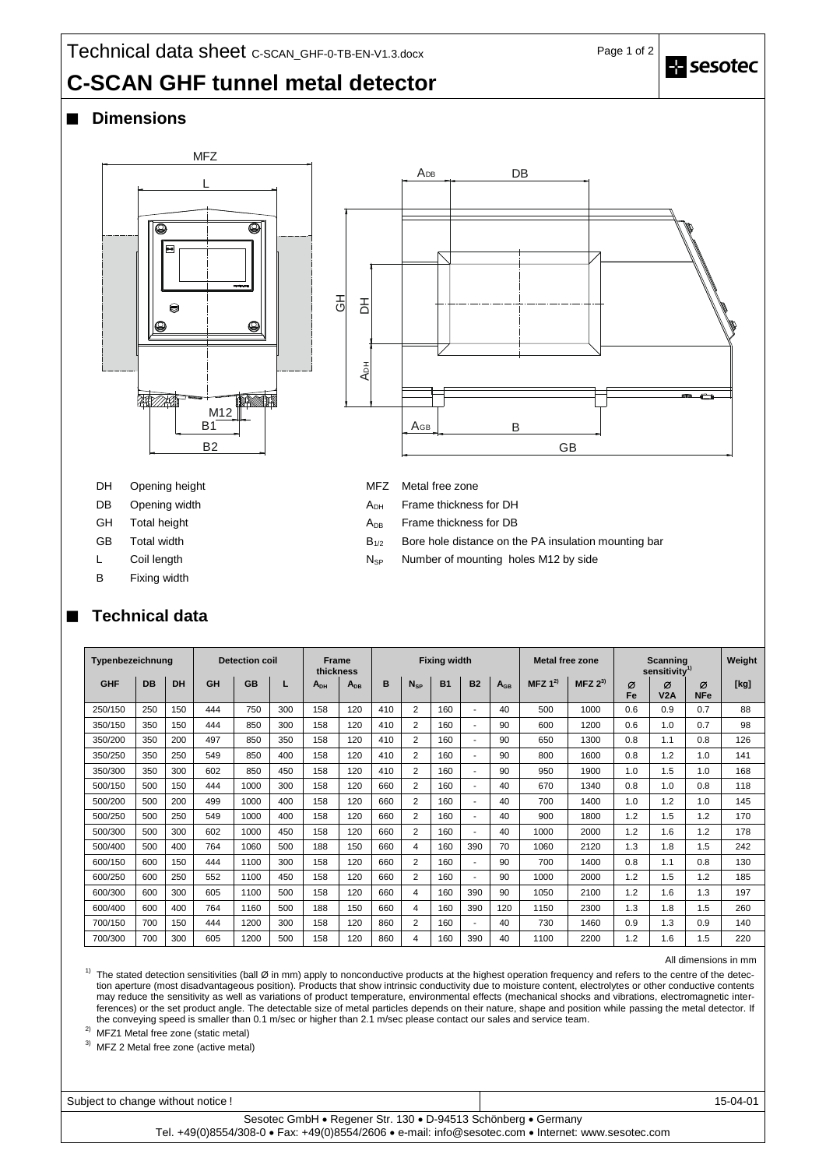# **C-SCAN GHF tunnel metal detector**

## **Dimensions**





- DH Opening height MFZ Metal free zone
- 
- 
- 
- 
- B Fixing width

## **Technical data**

- DB Opening width **CONFIDENT ADH** Frame thickness for DH
- GH Total height  $A_{DB}$  Frame thickness for DB
- GB Total width  $B_{1/2}$  Bore hole distance on the PA insulation mounting bar
- L Coil length  $N_{SP}$  Number of mounting holes M12 by side

| Typenbezeichnung |           |     | <b>Detection coil</b> |           |     | <b>Frame</b><br>thickness |          | <b>Fixing width</b> |                |           |                          |          | <b>Metal free zone</b> |             | Scanning<br>sensitivity <sup>1)</sup> |          |                 | Weight |
|------------------|-----------|-----|-----------------------|-----------|-----|---------------------------|----------|---------------------|----------------|-----------|--------------------------|----------|------------------------|-------------|---------------------------------------|----------|-----------------|--------|
| <b>GHF</b>       | <b>DB</b> | DH  | GH                    | <b>GB</b> | L   | $A_{DH}$                  | $A_{DB}$ | B                   | $N_{SP}$       | <b>B1</b> | <b>B2</b>                | $A_{GB}$ | MFZ $1^{2}$            | MFZ $2^{3}$ | Ø<br>Fe                               | Ø<br>V2A | Ø<br><b>NFe</b> | [kg]   |
| 250/150          | 250       | 150 | 444                   | 750       | 300 | 158                       | 120      | 410                 | 2              | 160       | $\overline{\phantom{a}}$ | 40       | 500                    | 1000        | 0.6                                   | 0.9      | 0.7             | 88     |
| 350/150          | 350       | 150 | 444                   | 850       | 300 | 158                       | 120      | 410                 | $\overline{2}$ | 160       | $\overline{\phantom{0}}$ | 90       | 600                    | 1200        | 0.6                                   | 1.0      | 0.7             | 98     |
| 350/200          | 350       | 200 | 497                   | 850       | 350 | 158                       | 120      | 410                 | $\overline{2}$ | 160       | $\overline{\phantom{a}}$ | 90       | 650                    | 1300        | 0.8                                   | 1.1      | 0.8             | 126    |
| 350/250          | 350       | 250 | 549                   | 850       | 400 | 158                       | 120      | 410                 | $\overline{2}$ | 160       | $\overline{\phantom{0}}$ | 90       | 800                    | 1600        | 0.8                                   | 1.2      | 1.0             | 141    |
| 350/300          | 350       | 300 | 602                   | 850       | 450 | 158                       | 120      | 410                 | 2              | 160       | $\overline{\phantom{0}}$ | 90       | 950                    | 1900        | 1.0                                   | 1.5      | 1.0             | 168    |
| 500/150          | 500       | 150 | 444                   | 1000      | 300 | 158                       | 120      | 660                 | $\overline{2}$ | 160       | $\overline{\phantom{a}}$ | 40       | 670                    | 1340        | 0.8                                   | 1.0      | 0.8             | 118    |
| 500/200          | 500       | 200 | 499                   | 1000      | 400 | 158                       | 120      | 660                 | $\overline{2}$ | 160       |                          | 40       | 700                    | 1400        | 1.0                                   | 1.2      | 1.0             | 145    |
| 500/250          | 500       | 250 | 549                   | 1000      | 400 | 158                       | 120      | 660                 | $\overline{2}$ | 160       | $\overline{\phantom{0}}$ | 40       | 900                    | 1800        | 1.2                                   | 1.5      | 1.2             | 170    |
| 500/300          | 500       | 300 | 602                   | 1000      | 450 | 158                       | 120      | 660                 | 2              | 160       | ٠                        | 40       | 1000                   | 2000        | 1.2                                   | 1.6      | 1.2             | 178    |
| 500/400          | 500       | 400 | 764                   | 1060      | 500 | 188                       | 150      | 660                 | 4              | 160       | 390                      | 70       | 1060                   | 2120        | 1.3                                   | 1.8      | 1.5             | 242    |
| 600/150          | 600       | 150 | 444                   | 1100      | 300 | 158                       | 120      | 660                 | 2              | 160       | $\overline{\phantom{0}}$ | 90       | 700                    | 1400        | 0.8                                   | 1.1      | 0.8             | 130    |
| 600/250          | 600       | 250 | 552                   | 1100      | 450 | 158                       | 120      | 660                 | $\overline{2}$ | 160       | $\overline{\phantom{0}}$ | 90       | 1000                   | 2000        | 1.2                                   | 1.5      | 1.2             | 185    |
| 600/300          | 600       | 300 | 605                   | 1100      | 500 | 158                       | 120      | 660                 | 4              | 160       | 390                      | 90       | 1050                   | 2100        | 1.2                                   | 1.6      | 1.3             | 197    |
| 600/400          | 600       | 400 | 764                   | 1160      | 500 | 188                       | 150      | 660                 | 4              | 160       | 390                      | 120      | 1150                   | 2300        | 1.3                                   | 1.8      | 1.5             | 260    |
| 700/150          | 700       | 150 | 444                   | 1200      | 300 | 158                       | 120      | 860                 | 2              | 160       | $\overline{\phantom{a}}$ | 40       | 730                    | 1460        | 0.9                                   | 1.3      | 0.9             | 140    |
| 700/300          | 700       | 300 | 605                   | 1200      | 500 | 158                       | 120      | 860                 | 4              | 160       | 390                      | 40       | 1100                   | 2200        | 1.2                                   | 1.6      | 1.5             | 220    |

#### All dimensions in mm

 $1)$  The stated detection sensitivities (ball Ø in mm) apply to nonconductive products at the highest operation frequency and refers to the centre of the detection aperture (most disadvantageous position). Products that show intrinsic conductivity due to moisture content, electrolytes or other conductive contents may reduce the sensitivity as well as variations of product temperature, environmental effects (mechanical shocks and vibrations, electromagnetic interferences) or the set product angle. The detectable size of metal particles depends on their nature, shape and position while passing the metal detector. If the conveying speed is smaller than 0.1 m/sec or higher than 2.1 m/sec please contact our sales and service team.

2) MFZ1 Metal free zone (static metal)

3) MFZ 2 Metal free zone (active metal)

Subject to change without notice ! 15-04-01 Sesotec GmbH · Regener Str. 130 · D-94513 Schönberg · Germany

Tel. +49(0)8554/308-0 Fax: +49(0)8554/2606 e-mail: info@sesotec.com Internet: www.sesotec.com